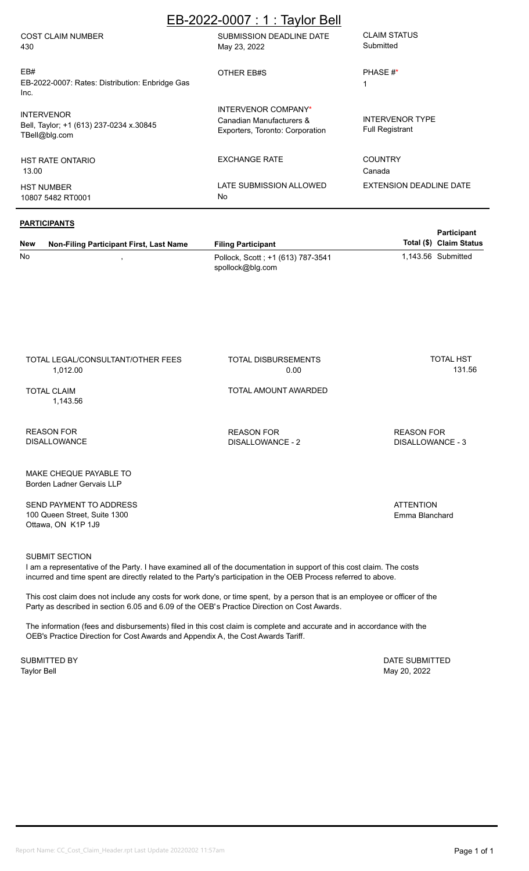# EB-2022-0007 : 1 : Taylor Bell

| <b>COST CLAIM NUMBER</b><br>430                                               | SUBMISSION DEADLINE DATE<br>May 23, 2022                                                  | <b>CLAIM STATUS</b><br>Submitted                 |
|-------------------------------------------------------------------------------|-------------------------------------------------------------------------------------------|--------------------------------------------------|
| EB#<br>EB-2022-0007: Rates: Distribution: Enbridge Gas<br>Inc.                | OTHER EB#S                                                                                | PHASE #*<br>1                                    |
| <b>INTERVENOR</b><br>Bell, Taylor; +1 (613) 237-0234 x.30845<br>TBell@blg.com | <b>INTERVENOR COMPANY*</b><br>Canadian Manufacturers &<br>Exporters, Toronto: Corporation | <b>INTERVENOR TYPE</b><br><b>Full Registrant</b> |
| <b>HST RATE ONTARIO</b><br>13.00                                              | <b>EXCHANGE RATE</b>                                                                      | <b>COUNTRY</b><br>Canada                         |
| <b>HST NUMBER</b><br>10807 5482 RT0001                                        | LATE SUBMISSION ALLOWED<br>No                                                             | EXTENSION DEADLINE DATE                          |

### **PARTICIPANTS**

| New | .<br>Non-Filing Participant First, Last Name | <b>Filing Participant</b>                             | <b>Participant</b><br>Total (\$) Claim Status |
|-----|----------------------------------------------|-------------------------------------------------------|-----------------------------------------------|
| No  |                                              | Pollock, Scott; +1 (613) 787-3541<br>spollock@blg.com | 1.143.56 Submitted                            |

TOTAL LEGAL/CONSULTANT/OTHER FEES 1,012.00

TOTAL DISBURSEMENTS 0.00

TOTAL AMOUNT AWARDED

TOTAL CLAIM 1,143.56

REASON FOR DISALLOWANCE REASON FOR DISALLOWANCE - 2

MAKE CHEQUE PAYABLE TO Borden Ladner Gervais LLP

SEND PAYMENT TO ADDRESS 100 Queen Street, Suite 1300 Ottawa, ON K1P 1J9

### SUBMIT SECTION

I am a representative of the Party. I have examined all of the documentation in support of this cost claim. The costs incurred and time spent are directly related to the Party's participation in the OEB Process referred to above.

This cost claim does not include any costs for work done, or time spent, by a person that is an employee or officer of the Party as described in section 6.05 and 6.09 of the OEB's Practice Direction on Cost Awards.

The information (fees and disbursements) filed in this cost claim is complete and accurate and in accordance with the OEB's Practice Direction for Cost Awards and Appendix A, the Cost Awards Tariff.

Taylor Bell May 20, 2022 SUBMITTED BY **DATE SUBMITTED** 

**ATTENTION** Emma Blanchard

REASON FOR DISALLOWANCE - 3

TOTAL HST 131.56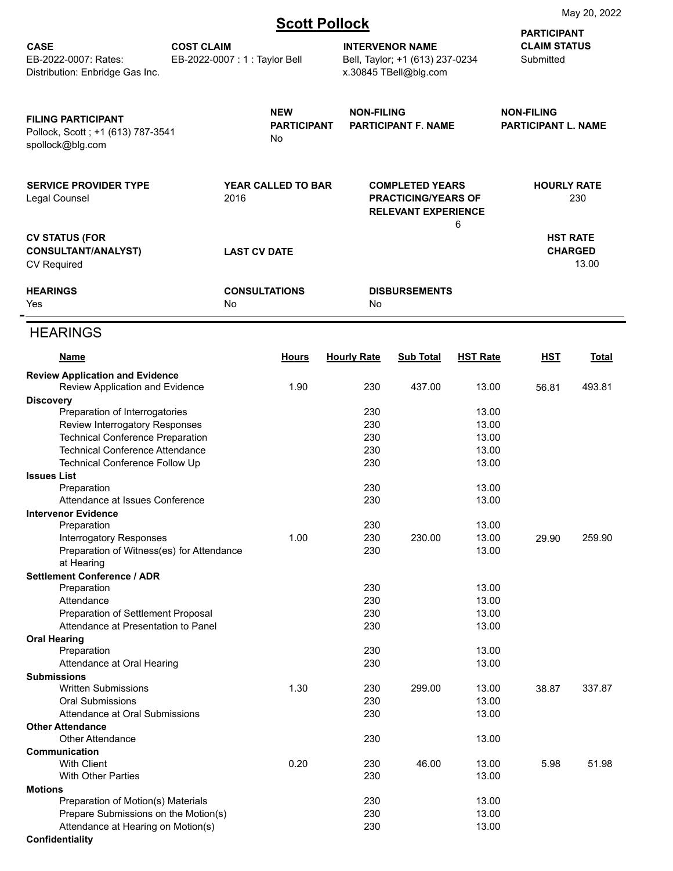|  |  |  | <b>Scott Pollock</b> |
|--|--|--|----------------------|
|  |  |  |                      |

|                                                                                               |                   |                                        |                    |                                                                                         |                 | <b>PARTICIPANT</b>                       |                                            |  |
|-----------------------------------------------------------------------------------------------|-------------------|----------------------------------------|--------------------|-----------------------------------------------------------------------------------------|-----------------|------------------------------------------|--------------------------------------------|--|
| <b>CASE</b><br>EB-2022-0007: Rates:<br>Distribution: Enbridge Gas Inc.                        | <b>COST CLAIM</b> | EB-2022-0007: 1: Taylor Bell           |                    | <b>INTERVENOR NAME</b><br>Bell, Taylor; +1 (613) 237-0234<br>x.30845 TBell@blg.com      |                 |                                          | <b>CLAIM STATUS</b><br>Submitted           |  |
| <b>FILING PARTICIPANT</b><br>Pollock, Scott; +1 (613) 787-3541<br>spollock@blg.com            |                   | <b>NEW</b><br><b>PARTICIPANT</b><br>No |                    | <b>NON-FILING</b><br><b>PARTICIPANT F. NAME</b>                                         |                 | <b>NON-FILING</b><br>PARTICIPANT L. NAME |                                            |  |
| <b>SERVICE PROVIDER TYPE</b><br>Legal Counsel                                                 |                   | <b>YEAR CALLED TO BAR</b><br>2016      |                    | <b>COMPLETED YEARS</b><br><b>PRACTICING/YEARS OF</b><br><b>RELEVANT EXPERIENCE</b><br>6 |                 | <b>HOURLY RATE</b><br>230                |                                            |  |
| <b>CV STATUS (FOR</b><br><b>CONSULTANT/ANALYST)</b><br><b>CV Required</b>                     |                   | <b>LAST CV DATE</b>                    |                    |                                                                                         |                 |                                          | <b>HST RATE</b><br><b>CHARGED</b><br>13.00 |  |
| <b>HEARINGS</b><br>Yes                                                                        |                   | <b>CONSULTATIONS</b><br>No             | No.                | <b>DISBURSEMENTS</b>                                                                    |                 |                                          |                                            |  |
| <b>HEARINGS</b>                                                                               |                   |                                        |                    |                                                                                         |                 |                                          |                                            |  |
| <b>Name</b>                                                                                   |                   | <b>Hours</b>                           | <b>Hourly Rate</b> | <b>Sub Total</b>                                                                        | <b>HST Rate</b> | <b>HST</b>                               | <b>Total</b>                               |  |
| <b>Review Application and Evidence</b><br>Review Application and Evidence<br><b>Discovery</b> |                   | 1.90                                   | 230                | 437.00                                                                                  | 13.00           | 56.81                                    | 493.81                                     |  |
| Preparation of Interrogatories                                                                |                   |                                        | 230                |                                                                                         | 13.00           |                                          |                                            |  |
| Review Interrogatory Responses                                                                |                   |                                        | 230                |                                                                                         | 13.00           |                                          |                                            |  |
| <b>Technical Conference Preparation</b>                                                       |                   |                                        | 230                |                                                                                         | 13.00           |                                          |                                            |  |
| <b>Technical Conference Attendance</b>                                                        |                   |                                        | 230                |                                                                                         | 13.00           |                                          |                                            |  |
| Technical Conference Follow Up                                                                |                   |                                        | 230                |                                                                                         | 13.00           |                                          |                                            |  |
| <b>Issues List</b>                                                                            |                   |                                        |                    |                                                                                         |                 |                                          |                                            |  |
| Preparation                                                                                   |                   |                                        | 230                |                                                                                         | 13.00           |                                          |                                            |  |
| Attendance at Issues Conference                                                               |                   |                                        | 230                |                                                                                         | 13.00           |                                          |                                            |  |
| <b>Intervenor Evidence</b>                                                                    |                   |                                        |                    |                                                                                         |                 |                                          |                                            |  |
| Preparation<br><b>Interrogatory Responses</b>                                                 |                   |                                        | 230                |                                                                                         | 13.00           |                                          |                                            |  |
| Preparation of Witness(es) for Attendance                                                     |                   | 1.00                                   | 230<br>230         | 230.00                                                                                  | 13.00<br>13.00  | 29.90                                    | 259.90                                     |  |
| at Hearing                                                                                    |                   |                                        |                    |                                                                                         |                 |                                          |                                            |  |
| <b>Settlement Conference / ADR</b>                                                            |                   |                                        |                    |                                                                                         |                 |                                          |                                            |  |
| Preparation                                                                                   |                   |                                        | 230                |                                                                                         | 13.00           |                                          |                                            |  |
| Attendance                                                                                    |                   |                                        | 230                |                                                                                         | 13.00           |                                          |                                            |  |
| Preparation of Settlement Proposal                                                            |                   |                                        | 230                |                                                                                         | 13.00           |                                          |                                            |  |
| Attendance at Presentation to Panel<br>230<br>13.00                                           |                   |                                        |                    |                                                                                         |                 |                                          |                                            |  |
| <b>Oral Hearing</b>                                                                           |                   |                                        | 230                |                                                                                         | 13.00           |                                          |                                            |  |
| Preparation<br>Attendance at Oral Hearing                                                     |                   |                                        | 230                |                                                                                         | 13.00           |                                          |                                            |  |
| <b>Submissions</b>                                                                            |                   |                                        |                    |                                                                                         |                 |                                          |                                            |  |
| <b>Written Submissions</b><br>1.30<br>230<br>299.00<br>13.00                                  |                   |                                        |                    | 38.87                                                                                   | 337.87          |                                          |                                            |  |
| <b>Oral Submissions</b>                                                                       |                   |                                        | 230                |                                                                                         | 13.00           |                                          |                                            |  |
| Attendance at Oral Submissions                                                                |                   | 230                                    |                    | 13.00                                                                                   |                 |                                          |                                            |  |
| <b>Other Attendance</b>                                                                       |                   |                                        |                    |                                                                                         |                 |                                          |                                            |  |
| <b>Other Attendance</b>                                                                       |                   | 230                                    |                    | 13.00                                                                                   |                 |                                          |                                            |  |
| Communication<br><b>With Client</b>                                                           | 0.20              | 230                                    | 46.00              | 13.00                                                                                   | 5.98            | 51.98                                    |                                            |  |
| <b>With Other Parties</b>                                                                     |                   | 230                                    |                    | 13.00                                                                                   |                 |                                          |                                            |  |
| <b>Motions</b>                                                                                |                   |                                        |                    |                                                                                         |                 |                                          |                                            |  |
| Preparation of Motion(s) Materials                                                            |                   |                                        | 230                |                                                                                         | 13.00           |                                          |                                            |  |
| Prepare Submissions on the Motion(s)                                                          |                   |                                        | 230                |                                                                                         | 13.00           |                                          |                                            |  |
| Attendance at Hearing on Motion(s)                                                            |                   | 230                                    |                    | 13.00                                                                                   |                 |                                          |                                            |  |
| Confidentiality                                                                               |                   |                                        |                    |                                                                                         |                 |                                          |                                            |  |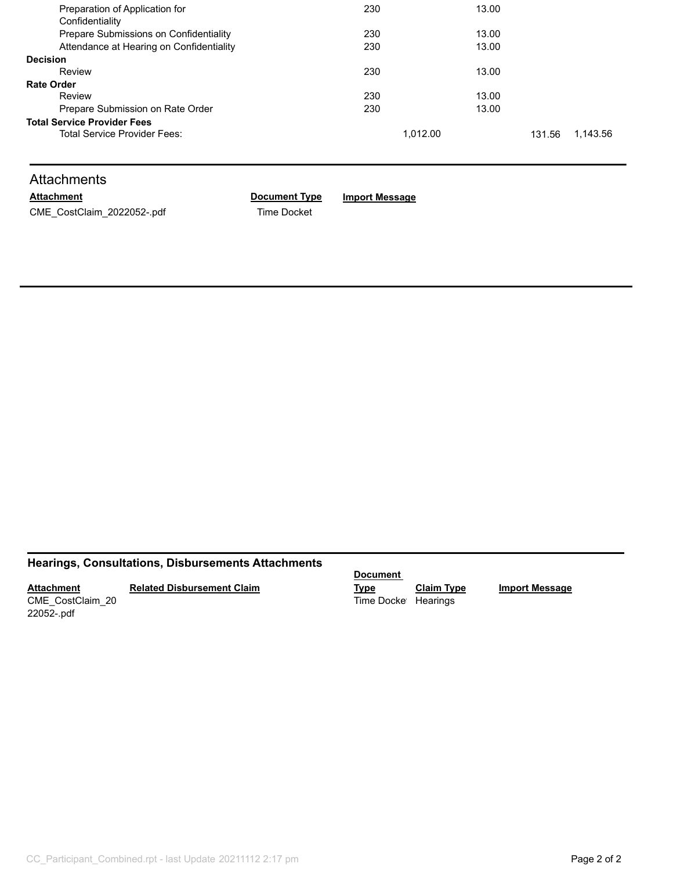| Preparation of Application for           | 230<br>13.00 |       |        |          |
|------------------------------------------|--------------|-------|--------|----------|
| Confidentiality                          |              |       |        |          |
| Prepare Submissions on Confidentiality   | 230          | 13.00 |        |          |
| Attendance at Hearing on Confidentiality | 230          | 13.00 |        |          |
| <b>Decision</b>                          |              |       |        |          |
| Review                                   | 230          | 13.00 |        |          |
| <b>Rate Order</b>                        |              |       |        |          |
| Review                                   | 230          | 13.00 |        |          |
| Prepare Submission on Rate Order         | 230          | 13.00 |        |          |
| <b>Total Service Provider Fees</b>       |              |       |        |          |
| Total Service Provider Fees:             | 1.012.00     |       | 131.56 | 1.143.56 |
|                                          |              |       |        |          |

## **Attachments**

CME\_CostClaim\_2022052-.pdf Time Docket

**Attachment Document Type Import Message**

## **Hearings, Consultations, Disbursements Attachments**

**Attachment** CME\_CostClaim\_20

**Related Disbursement Claim**

22052-.pdf

**Document** 

**Type Claim Type Import Message** Time Docket Hearings